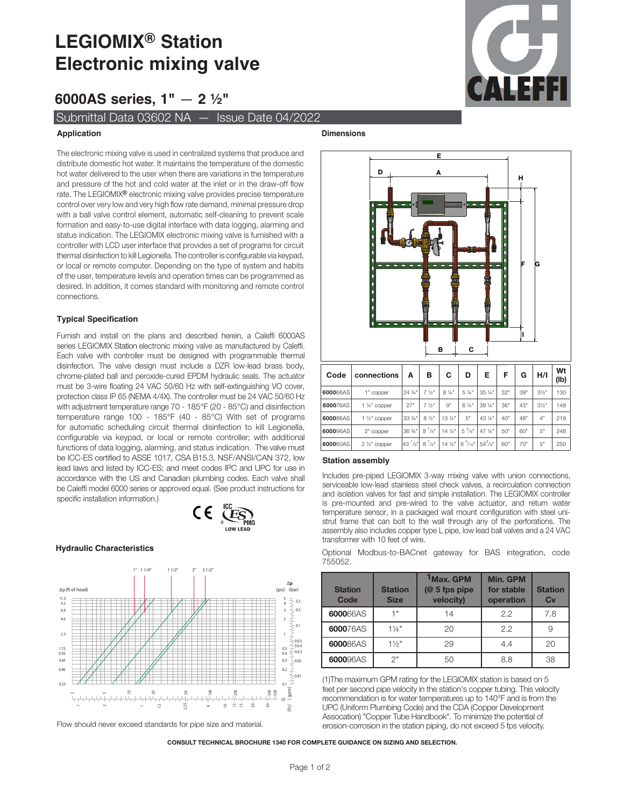# **LEGIOMIX® Station Electronic mixing valve**

**6000AS series, 1"** — **2 ½"**

Submittal Data 03602 NA — Issue Date 04/2022

# **Application**

The electronic mixing valve is used in centralized systems that produce and distribute domestic hot water. It maintains the temperature of the domestic hot water delivered to the user when there are variations in the temperature and pressure of the hot and cold water at the inlet or in the draw-off flow rate. The LEGIOMIX**®** electronic mixing valve provides precise temperature control over very low and very high flow rate demand, minimal pressure drop with a ball valve control element, automatic self-cleaning to prevent scale formation and easy-to-use digital interface with data logging, alarming and status indication. The LEGIOMIX electronic mixing valve is furnished with a controller with LCD user interface that provides a set of programs for circuit thermal disinfection to kill Legionella. The controller is configurable via keypad, or local or remote computer. Depending on the type of system and habits of the user, temperature levels and operation times can be programmed as desired. In addition, it comes standard with monitoring and remote control connections.

# **Typical Specification**

Furnish and install on the plans and described herein, a Caleffi 6000AS series LEGIOMIX Station electronic mixing valve as manufactured by Caleffi. Each valve with controller must be designed with programmable thermal disinfection. The valve design must include a DZR low-lead brass body, chrome-plated ball and peroxide-cured EPDM hydraulic seals. The actuator must be 3-wire floating 24 VAC 50/60 Hz with self-extinguishing VO cover, protection class IP 65 (NEMA 4/4X). The controller must be 24 VAC 50/60 Hz with adjustment temperature range 70 - 185°F (20 - 85°C) and disinfection temperature range 100 - 185°F (40 - 85°C) With set of programs for automatic scheduling circuit thermal disinfection to kill Legionella, configurable via keypad, or local or remote controller; with additional functions of data logging, alarming, and status indication. The valve must be ICC-ES certified to ASSE 1017, CSA B15.3, NSF/ANSI/CAN 372, low lead laws and listed by ICC-ES; and meet codes IPC and UPC for use in accordance with the US and Canadian plumbing codes. Each valve shall be Caleffi model 6000 series or approved equal. (See product instructions for specific installation information.)



## **Hydraulic Characteristics**



Flow should never exceed standards for pipe size and material.





| Code             | connections           | A                     | в                | С               | D                                               | Е           | F   | G   | H/I              | Wt<br>(Ib) |
|------------------|-----------------------|-----------------------|------------------|-----------------|-------------------------------------------------|-------------|-----|-----|------------------|------------|
| 600066AS         | 1" copper             | 24 3/4"               | $7\frac{1}{9}$ " | 8 1/4"          | 5 1/4"                                          | 35 1/4"     | 32" | 39" | $3\frac{1}{2}$ " | 130        |
| 600076AS         | 1 1/4" copper         | 27"                   | $7\frac{1}{9}$ " | 9"              | 6 1/4"                                          | 39 1/4"     | 36" | 43" | $3\frac{1}{2}$ " | 148        |
| 600086AS         | $1\frac{1}{2}$ copper | 33 %                  | 8 1/2"           | $13\frac{1}{4}$ | 5"                                              | 43 1/4"     | 40" | 48" | 4"               | 219        |
| <b>6000</b> 96AS | 2" copper             | $136\frac{3}{4}$ "    | $8^{7}/8$ "      | $14\frac{1}{4}$ | $5^{3}/8$ "                                     | 47 1/4"     | 50" | 60" | 5"               | 248        |
| <b>600060AS</b>  | $2\frac{1}{2}$ copper | $43^{1}/8$ 8 $^{7}/8$ |                  |                 | $14\frac{1}{4}$ 6 <sup>3</sup> /16 <sup>"</sup> | $54^{3}/8"$ | 60" | 70" | 5"               | 250        |

## **Station assembly**

Includes pre-piped LEGIOMIX 3-way mixing valve with union connections, serviceable low-lead stainless steel check valves, a recirculation connection and isolation valves for fast and simple installation. The LEGIOMIX controller is pre-mounted and pre-wired to the valve actuator, and return water temperature sensor, in a packaged wall mount configuration with steel unistrut frame that can bolt to the wall through any of the perforations. The assembly also includes copper type L pipe, low lead ball valves and a 24 VAC transformer with 10 feet of wire.

Optional Modbus-to-BACnet gateway for BAS integration, code 755052.

| <b>Station</b><br>Code | <b>Station</b><br><b>Size</b> | <sup>1</sup> Max. GPM<br>$(@ 5$ fps pipe<br>velocity) | Min. GPM<br>for stable<br>operation | <b>Station</b><br>Cv |
|------------------------|-------------------------------|-------------------------------------------------------|-------------------------------------|----------------------|
| 600066AS               | 4 !!                          | 14                                                    | 2.2                                 | 7.8                  |
| 600076AS               | $1\frac{1}{4}$ "              | 20                                                    | 2.2                                 |                      |
| 600086AS               | $1\frac{1}{2}$ "              | 29                                                    | 4.4                                 | 20                   |
| 600096AS               | 2"                            | 50                                                    | 8.8                                 | 38                   |

(1)The maximum GPM rating for the LEGIOMIX station is based on 5 feet per second pipe velocity in the station's copper tubing. This velocity recommendation is for water temperatures up to 140°F and is from the UPC (Uniform Plumbing Code) and the CDA (Copper Development Assocation) "Copper Tube Handbook". To minimize the potential of erosion-corrosion in the station piping, do not exceed 5 fps velocity.

CONSULT TECHNICAL BROCHURE 1340 FOR COMPLETE GUIDANCE ON SIZING AND SELECTION.